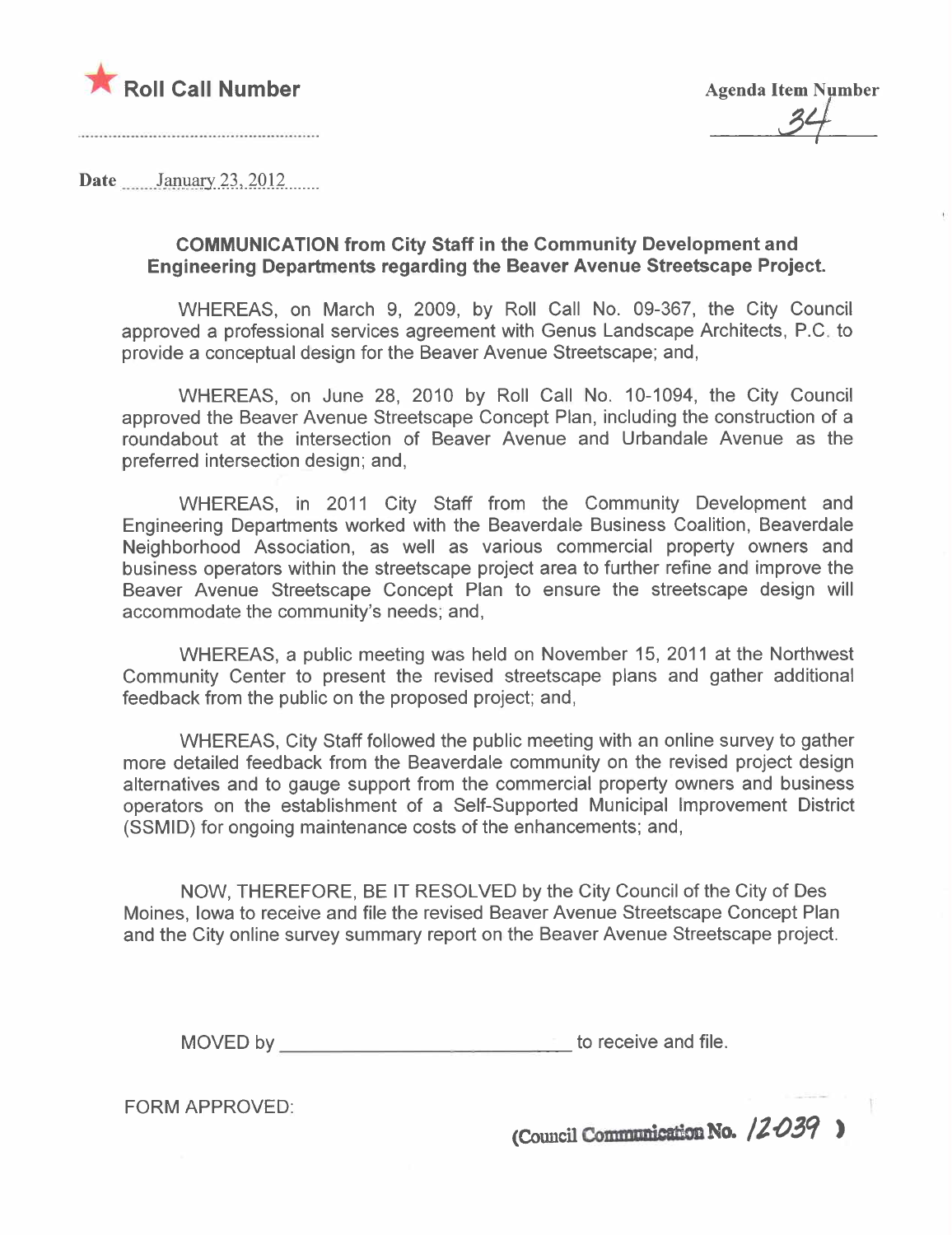

31

Date  $\frac{1}{2}$  January 23, 2012

# COMMUNICATION from City Staff in the Community Development and Engineering Departments regarding the Beaver Avenue Streetscape Project.

WHEREAS, on March 9, 2009, by Roll Call No. 09-367, the City Council approved a professional services agreement with Genus Landscape Architects, P.C. to provide a conceptual design for the Beaver Avenue Streetscape; and,

WHEREAS, on June 28, 2010 by Roll Call No. 10-1094, the City Council approved the Beaver Avenue Streetscape Concept Plan, including the construction of a roundabout at the intersection of Beaver Avenue and Urbandale Avenue as the preferred intersection design; and,

WHEREAS, in 2011 City Staff from the Community Development and Engineering Departments worked with the Beaverdale Business Coalition, Beaverdale Neighborhood Association, as well as various commercial property owners and business operators within the streetscape project area to further refine and improve the Beaver Avenue Streetscape Concept Plan to ensure the streetscape design will accommodate the community's needs; and,

WHEREAS, a public meeting was held on November 15, 2011 at the Northwest Community Center to present the revised streetscape plans and gather additional feedback from the public on the proposed project; and,

WHEREAS, City Staff followed the public meeting with an online survey to gather more detailed feedback from the Beaverdale community on the revised project design alternatives and to gauge support from the commercial property owners and business operators on the establishment of a Self-Supported Municipal Improvement District (SSMID) for ongoing maintenance costs of the enhancements; and,

NOW, THEREFORE, BE IT RESOLVED by the City Council of the City of Des Moines, Iowa to receive and file the revised Beaver Avenue Streetscape Concept Plan and the City online survey summary report on the Beaver Avenue Streetscape project.

MOVED by to receive and file.

FORM APPROVED:

(Council Communication No.  $/2$ 039)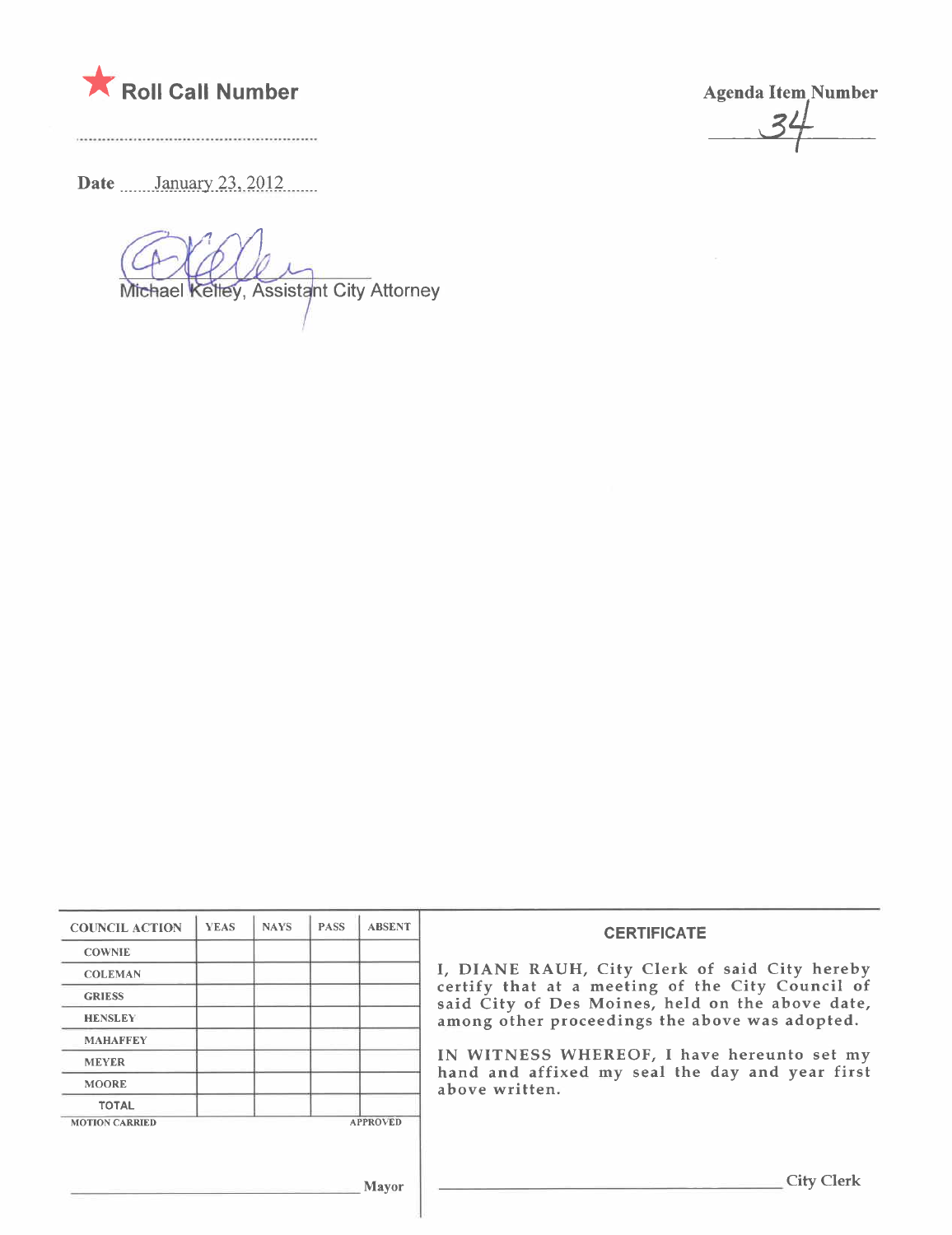

Agenda Item Number

Date \_\_\_\_\_\_January 23, 2012

Michael Kelley, Assistant City Attorney

| <b>COUNCIL ACTION</b> | <b>YEAS</b> | <b>NAYS</b> | <b>PASS</b> | <b>ABSENT</b>   | <b>CERTIFICATE</b>                                                                                                                                     |
|-----------------------|-------------|-------------|-------------|-----------------|--------------------------------------------------------------------------------------------------------------------------------------------------------|
| <b>COWNIE</b>         |             |             |             |                 |                                                                                                                                                        |
| <b>COLEMAN</b>        |             |             |             |                 | I, DIANE RAUH, City Clerk of said City hereby                                                                                                          |
| <b>GRIESS</b>         |             |             |             |                 | certify that at a meeting of the City Council of<br>said City of Des Moines, held on the above date,<br>among other proceedings the above was adopted. |
| <b>HENSLEY</b>        |             |             |             |                 |                                                                                                                                                        |
| <b>MAHAFFEY</b>       |             |             |             |                 |                                                                                                                                                        |
| <b>MEYER</b>          |             |             |             |                 | IN WITNESS WHEREOF, I have hereunto set my<br>hand and affixed my seal the day and year first                                                          |
| <b>MOORE</b>          |             |             |             |                 | above written.                                                                                                                                         |
| <b>TOTAL</b>          |             |             |             |                 |                                                                                                                                                        |
| <b>MOTION CARRIED</b> |             |             |             | <b>APPROVED</b> |                                                                                                                                                        |
|                       |             |             |             | Mayor           | <b>City Clerk</b>                                                                                                                                      |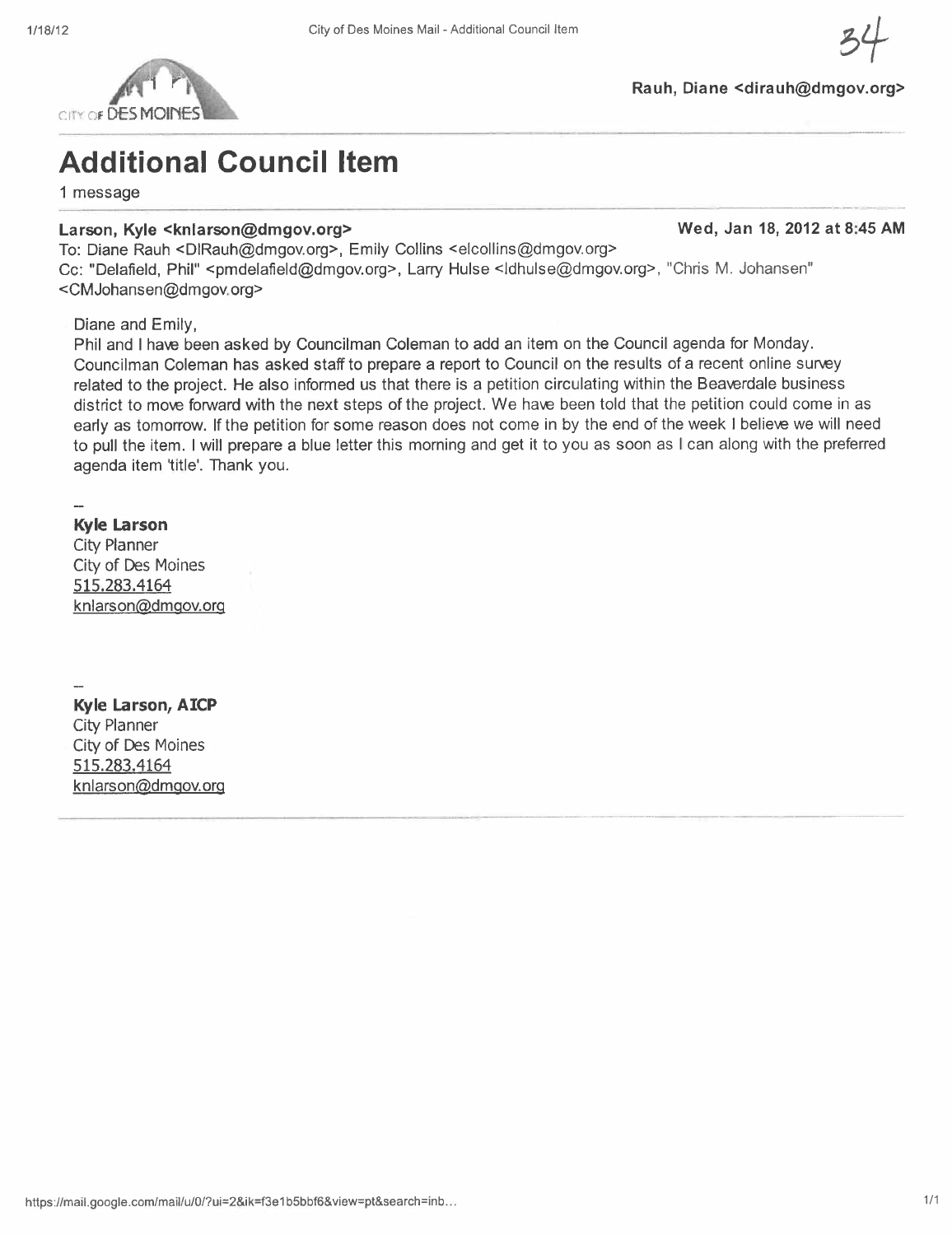

# Additional Council Item

1 message

#### Larson, Kyle <knlarson@dmgov.org> Wed, Jan 18, 2012 at 8:45 AM

To: Diane Rauh <DIRauh@dmgov.org>, Emily Collins <elcollins@dmgov.org>

Cc: "Delafield, Phil" <pmdelafield@dmgov.org>, Larry Hulse <ldhulse@dmgov.org>, "Chris M. Johansen" <CMJohansen@dmgov.org>

Diane and Emily,

Phil and I have been asked by Councilman Coleman to add an item on the Council agenda for Monday. Councilman Coleman has asked staff to prepare a report to Council on the results of a recent online survey related to the project. He also informed us that there is a petition circulating within the Beaverdale business district to move forward with the next steps of the project. We have been told that the petition could come in as early as tomorrow. If the petition for some reason does not come in by the end of the week i believe we will need to pull the item. I will prepare a blue letter this morning and get it to you as soon as I can along with the preferred agenda item 'title'. Thank you.

### Kyle Larson

City Planner City of Des Moines 515.283.4164 knlarson@dmgov.org

Kyle Larson, AICP City Planner City of Des Moines 515.283.4164 knlarson@dmgov.org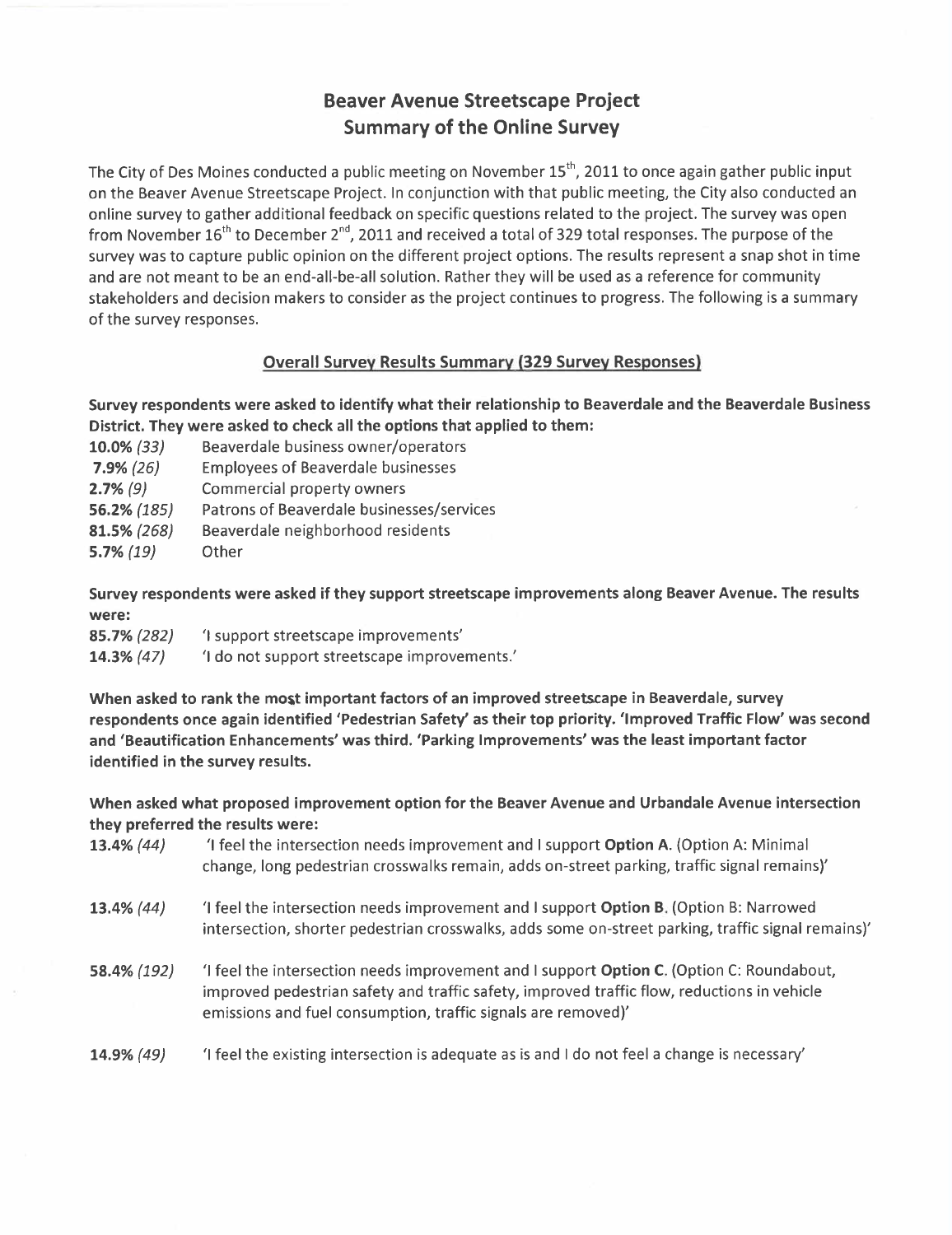# Beaver Avenue Streetscape Project Summary of the Online Survey

The City of Des Moines conducted a public meeting on November 15<sup>th</sup>, 2011 to once again gather public input on the Beaver Avenue Streetscape Project. In conjunction with that public meeting, the City also conducted an online survey to gather additional feedback on specific questions related to the project. The survey was open from November  $16<sup>th</sup>$  to December 2<sup>nd</sup>, 2011 and received a total of 329 total responses. The purpose of the survey was to capture public opinion on the different project options. The results represent a snap shot in time and are not meant to be an end-all-be-all solution. Rather they will be used as a reference for community stakeholders and decision makers to consider as the project continues to progress. The following is a summary of the survey responses.

### Overall Survey Results Summary (329 Survey Responses)

Survey respondents were asked to identify what their relationship to Beaverdale and the Beaverdale Business District. They were asked to check all the options that applied to them:

10.0% (33) Beaverdale business owner/operators 7.9% (26) Employees of Beaverdale businesses 2.7% (9) Commercial property owners 56.2% (185) Patrons of Beaverdale businesses/services 81.5% (268) Beaverdale neighborhood residents 5.7% (19) Other

Survey respondents were asked if they support streetscape improvements along Beaver Avenue. The results were:

| 85.7% (282) | 'I support streetscape improvements'         |
|-------------|----------------------------------------------|
| 14.3% (47)  | 'I do not support streetscape improvements.' |

When asked to rank the most important factors of an improved streetscape in Beaverdale, survey respondents once again identified 'Pedestrian Safety' as their top priority. 'Improved Traffic Flow' was second and 'Beautification Enhancements' was third. 'Parking Improvements' was the least important factor identified in the survey results.

When asked what proposed improvement option for the Beaver Avenue and Urbandale Avenue intersection they preferred the results were:

- 13.4% (44) '1 feel the intersection needs improvement and I support Option A. (Option A: Minimal change, long pedestrian crosswalks remain, adds on-street parking, traffic signal remains)'
- 13.4% (44) 'i feel the intersection needs improvement and I support Option B. (Option B: Narrowed intersection, shorter pedestrian crosswalks, adds some on-street parking, traffic signal remains)'
- 58.4% (192) 'I feel the intersection needs improvement and I support Option C. (Option C: Roundabout, improved pedestrian safety and traffic safety, improved traffic flow, reductions in vehicle emissions and fuel consumption, traffic signals are removed)'
- 14.9% (49) 'I feel the existing intersection is adequate as is and I do not feel a change is necessary'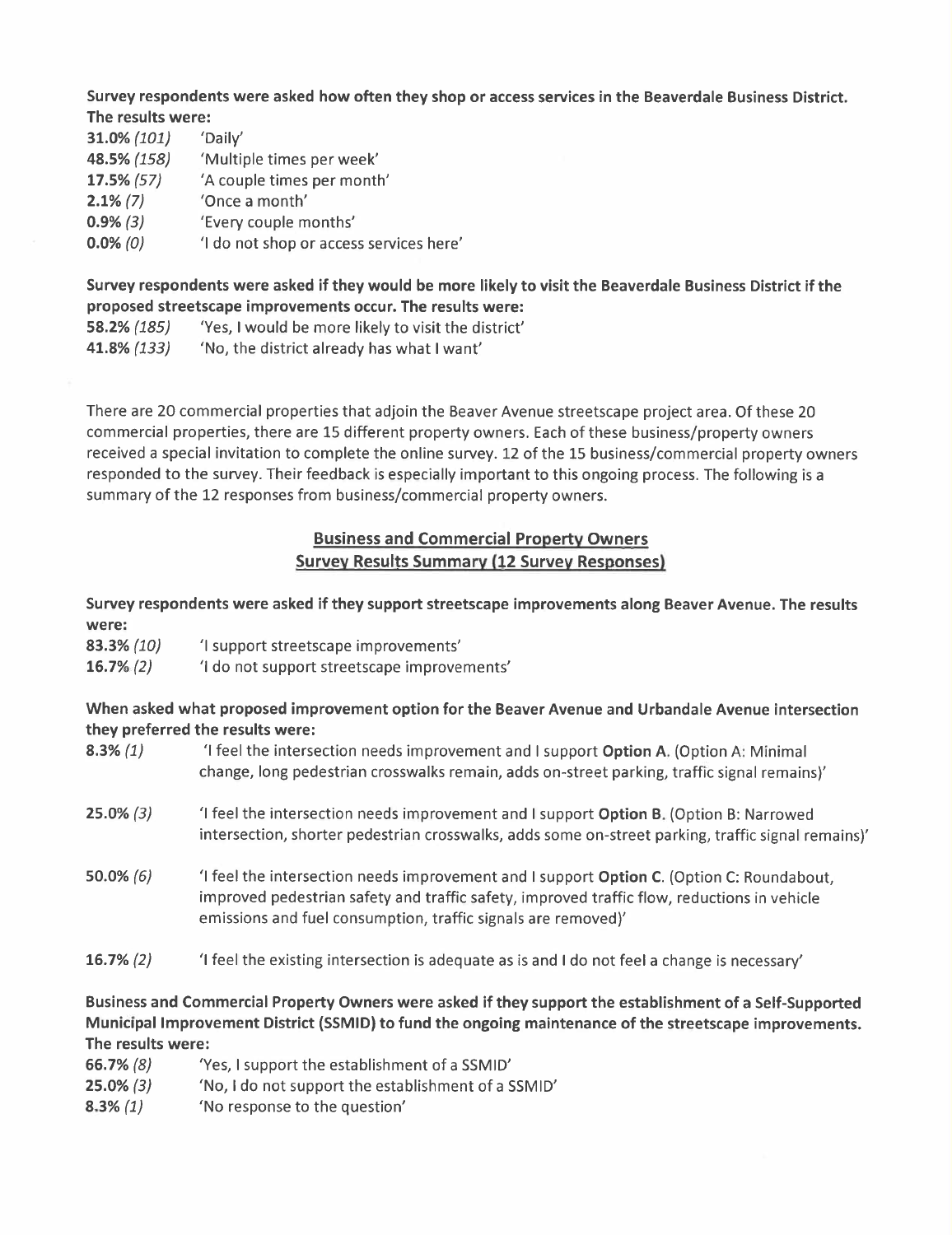Survey respondents were asked how often they shop or access services in the Beaverdale Business District. The results were:

| 31.0% (101)   | 'Daily'                                |
|---------------|----------------------------------------|
| 48.5% (158)   | 'Multiple times per week'              |
| $17.5\%$ (57) | 'A couple times per month'             |
| $2.1\%$ (7)   | 'Once a month'                         |
| $0.9\%$ (3)   | 'Every couple months'                  |
| $0.0\%$ (0)   | 'I do not shop or access services here |
|               |                                        |

Survey respondents were asked if they would be more likely to visit the Beaverdale Business District if the proposed streetscape improvements occur. The results were:

- 58.2% (185) 'Yes, I would be more likely to visit the district'
- 41.8% (133) 'No, the district already has what I want'

There are 20 commercial properties that adjoin the Beaver Avenue streetscape project area. Of these 20 commercial properties, there are 15 different property owners. Each of these business/property owners received a special invitation to complete the online survey. 12 of the 15 business/commercial property owners responded to the survey. Their feedback is especially important to this ongoing process. The following is a summary of the 12 responses from business/commercial property owners.

## Business and Commercial Property Owners Survey Results Summary (12 Survey Responses)

Survey respondents were asked if they support streetscape improvements along Beaver Avenue. The results were:

- 83.3% (10) 'i support streetscape improvements'
- 16.7% (2) 'I do not support streetscape improvements'

### When asked what proposed improvement option for the Beaver Avenue and Urbandale Avenue intersection they preferred the results were:

8.3% (1) '1 feel the intersection needs improvement and I support Option A. (Option A: Minimal change, long pedestrian crosswalks remain, adds on-street parking, traffic signal remains)' 25.0% (3) 'I feel the intersection needs improvement and I support Option B. (Option B: Narrowed intersection, shorter pedestrian crosswalks, adds some on-street parking, traffic signal remains)' 50.0% (6) 'I feel the intersection needs improvement and I support Option C. (Option C: Roundabout, improved pedestrian safety and traffic safety, improved traffic flow, reductions in vehicle emissions and fuel consumption, traffic signals are removed)' **16.7%** (2)  $\qquad$  'I feel the existing intersection is adequate as is and I do not feel a change is necessary'

Business and Commercial Property Owners were asked if they support the establishment of a Self-Supported Municipal Improvement District (SSMID) to fund the ongoing maintenance of the streetscape improvements. The results were:

66.7% (8) 'Yes, I support the establishment of a SSMID' 25.0% (3) 'No, I do not support the establishment of a SSMID' 8.3% (1) 'No response to the question'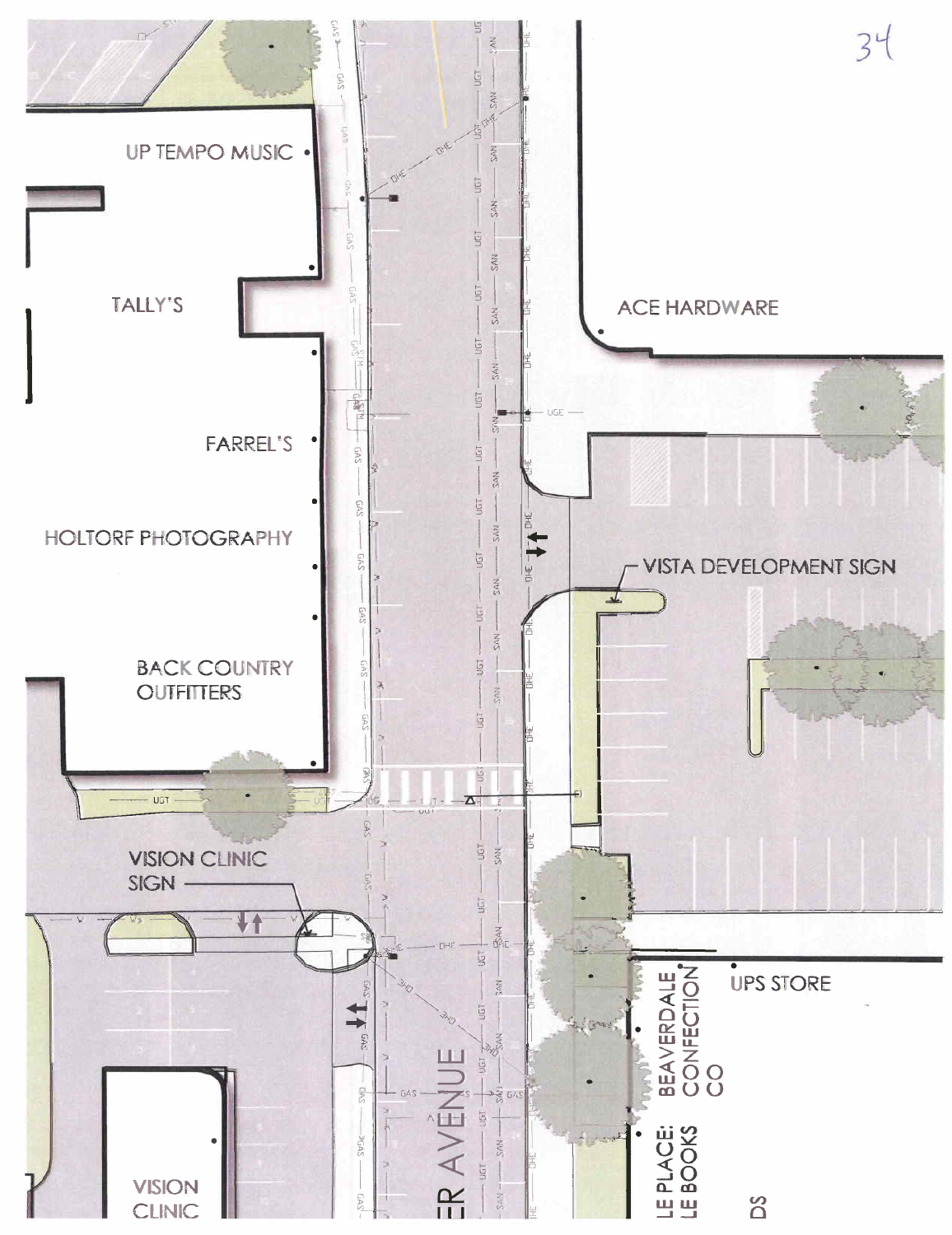